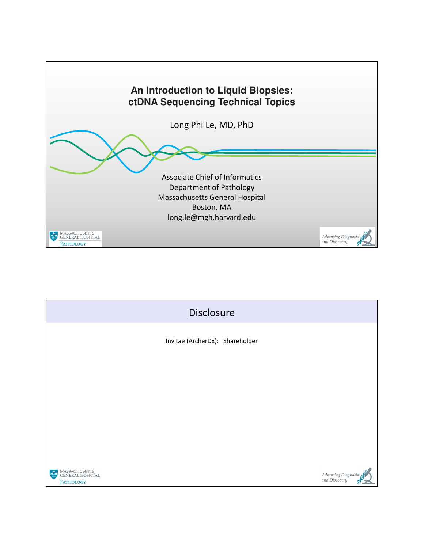

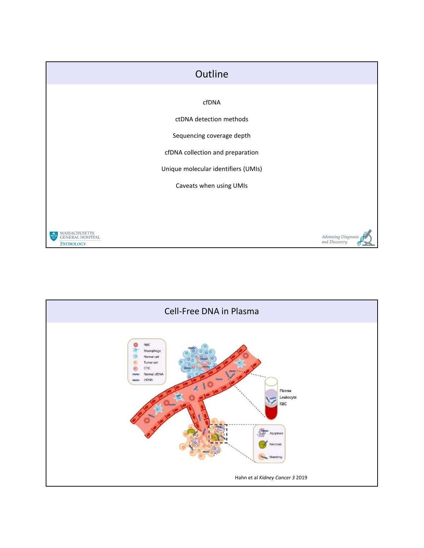

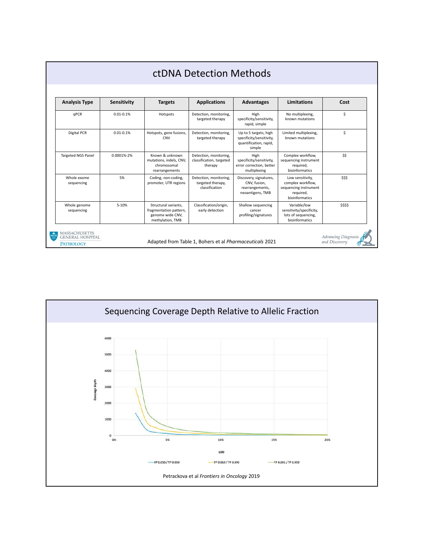| <b>Analysis Type</b>                            | <b>Sensitivity</b> | <b>Targets</b>                                                                         | <b>Applications</b>                                           | <b>Advantages</b>                                                                     | Limitations                                                                                   | Cost                                 |
|-------------------------------------------------|--------------------|----------------------------------------------------------------------------------------|---------------------------------------------------------------|---------------------------------------------------------------------------------------|-----------------------------------------------------------------------------------------------|--------------------------------------|
| <b>aPCR</b>                                     | $0.01 - 0.1%$      | Hotspots                                                                               | Detection, monitoring,<br>targeted therapy                    | High<br>specificity/sensitivity,<br>rapid, simple                                     | No multiplexing,<br>known mutations                                                           | \$                                   |
| Digital PCR                                     | $0.01 - 0.1%$      | Hotspots, gene fusions,<br><b>CNV</b>                                                  | Detection, monitoring,<br>targeted therapy                    | Up to 5 targets, high<br>specificity/sensitivity,<br>quantification, rapid,<br>simple | Limited multiplexing,<br>known mutations                                                      | Ś.                                   |
| <b>Targeted NGS Panel</b>                       | 0.0001%-2%         | Known & unknown<br>mutations, indels, CNV,<br>chromosomal<br>rearrangements            | Detection, monitoring,<br>classification, targeted<br>therapy | High<br>specificity/sensitivity,<br>error correction, better<br>multiplexing          | Complex workflow,<br>sequencing instrument<br>required.<br>bioinformatics                     | \$\$                                 |
| Whole exome<br>sequencing                       | 5%                 | Coding, non-coding,<br>promoter, UTR regions                                           | Detection, monitoring,<br>targeted therapy,<br>classification | Discovery, signatures,<br>CNV, fusion,<br>rearrangements,<br>neoantigens, TMB         | Low sensitivity,<br>complex workflow,<br>sequencing instrument<br>required,<br>bioinformatics | \$\$\$                               |
| Whole genome<br>sequencing                      | $5 - 10%$          | Structural variants.<br>fragmentation pattern,<br>genome wide CNV,<br>methylation, TMB | Classification/origin,<br>early detection                     | Shallow sequencing<br>cancer<br>profiling/signatures                                  | Variable/low<br>sensitivity/specificity,<br>lots of sequencing,<br>bioinformatics             | \$\$\$\$                             |
| <b>MASSACHUSETTS</b><br><b>GENERAL HOSPITAL</b> |                    |                                                                                        | Adapted from Table 1, Bohers et al Pharmaceuticals 2021       |                                                                                       |                                                                                               | Advancing Diagnosis<br>and Discovery |

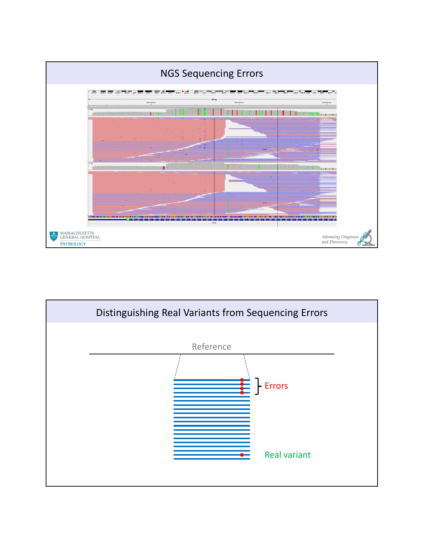

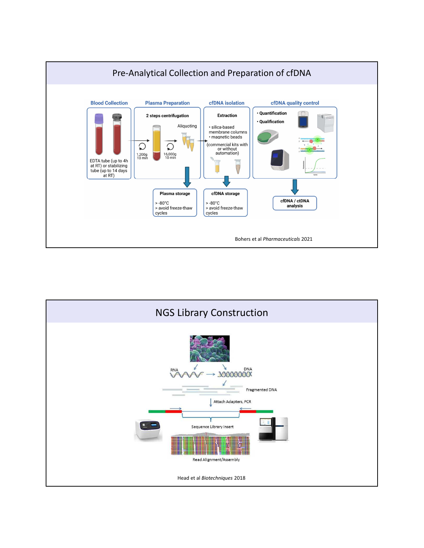

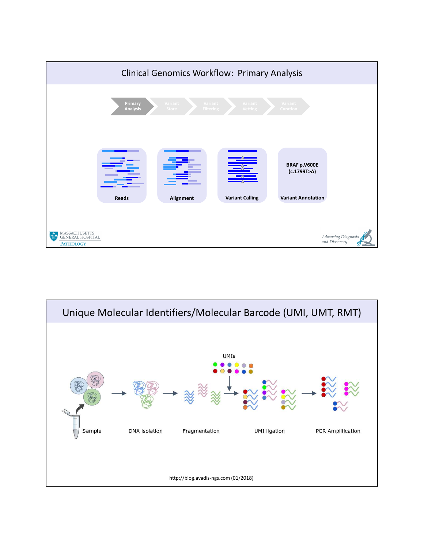

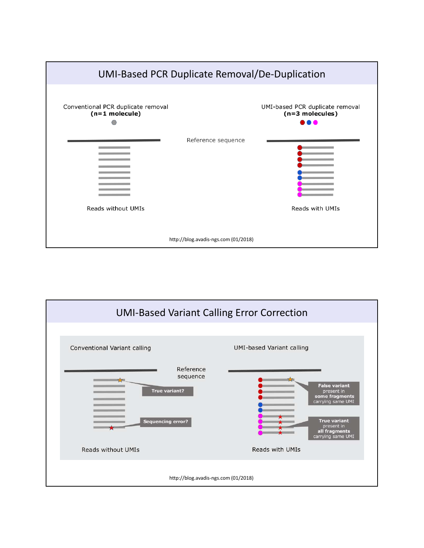

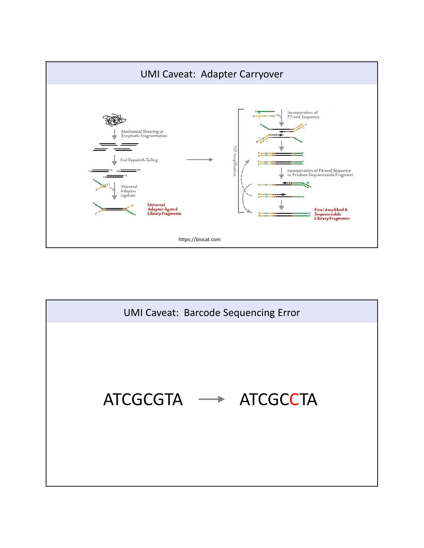